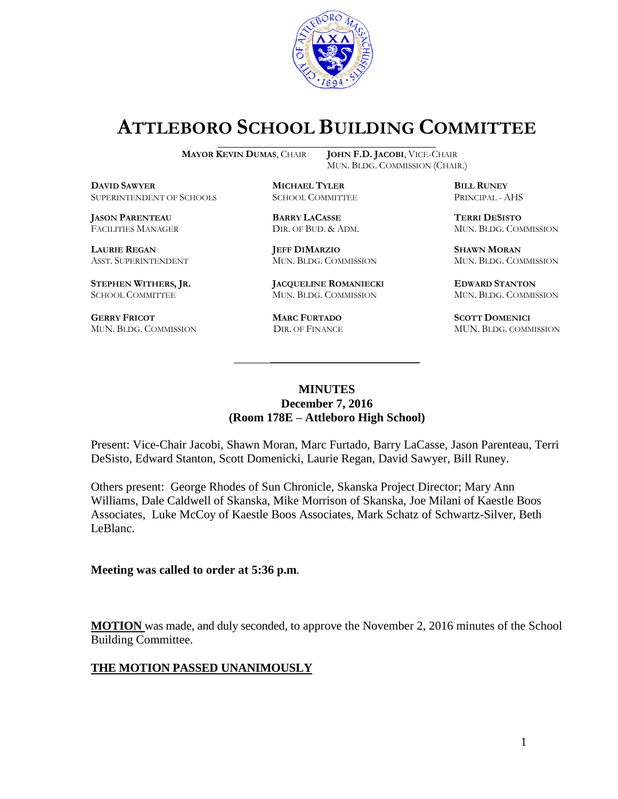

# **ATTLEBORO SCHOOL BUILDING COMMITTEE**

MUN. BLDG. COMMISSION (CHAIR.)

**MAYOR KEVIN DUMAS**, CHAIR **JOHN F.D. JACOBI**, VICE-CHAIR

**DAVID SAWYER MICHAEL TYLER BILL RUNEY** SUPERINTENDENT OF SCHOOLS SCHOOL COMMITTEE PRINCIPAL - AHS

**JASON PARENTEAU BARRY LACASSE TERRI DESISTO**

**GERRY FRICOT MARC FURTADO SCOTT DOMENICI** 

**LAURIE REGAN JEFF DIMARZIO SHAWN MORAN**

**STEPHEN WITHERS, JR. JACQUELINE ROMANIECKI EDWARD STANTON** SCHOOL COMMITTEE MUN. BLDG. COMMISSION MUN. BLDG. COMMISSION

FACILITIES MANAGER DIR. OF BUD. & ADM. MUN. BLDG. COMMISSION

ASST. SUPERINTENDENT MUN. BLDG. COMMISSION MUN. BLDG. COMMISSION

MUN. BLDG. COMMISSION DIR. OF FINANCE MUN. BLDG. COMMISSION

#### **MINUTES December 7, 2016 (Room 178E – Attleboro High School)**

\_\_\_\_\_\_\_\_\_\_\_\_\_\_\_\_\_\_\_\_\_\_\_\_\_\_\_\_\_\_\_\_\_\_\_\_\_

Present: Vice-Chair Jacobi, Shawn Moran, Marc Furtado, Barry LaCasse, Jason Parenteau, Terri DeSisto, Edward Stanton, Scott Domenicki, Laurie Regan, David Sawyer, Bill Runey.

Others present: George Rhodes of Sun Chronicle, Skanska Project Director; Mary Ann Williams, Dale Caldwell of Skanska, Mike Morrison of Skanska, Joe Milani of Kaestle Boos Associates, Luke McCoy of Kaestle Boos Associates, Mark Schatz of Schwartz-Silver, Beth LeBlanc.

**Meeting was called to order at 5:36 p.m**.

**MOTION** was made, and duly seconded, to approve the November 2, 2016 minutes of the School Building Committee.

#### **THE MOTION PASSED UNANIMOUSLY**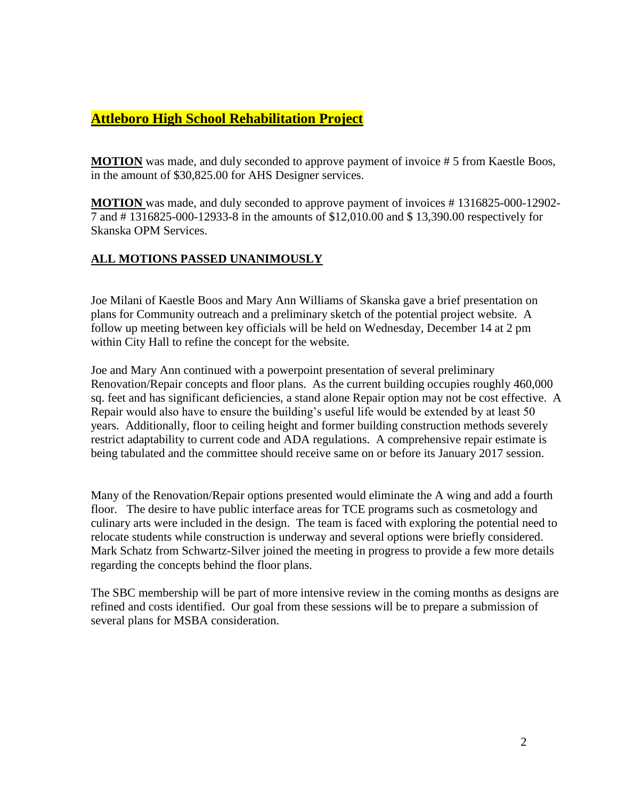# **Attleboro High School Rehabilitation Project**

**MOTION** was made, and duly seconded to approve payment of invoice # 5 from Kaestle Boos, in the amount of \$30,825.00 for AHS Designer services.

**MOTION** was made, and duly seconded to approve payment of invoices # 1316825-000-12902- 7 and # 1316825-000-12933-8 in the amounts of \$12,010.00 and \$ 13,390.00 respectively for Skanska OPM Services.

### **ALL MOTIONS PASSED UNANIMOUSLY**

Joe Milani of Kaestle Boos and Mary Ann Williams of Skanska gave a brief presentation on plans for Community outreach and a preliminary sketch of the potential project website. A follow up meeting between key officials will be held on Wednesday, December 14 at 2 pm within City Hall to refine the concept for the website.

Joe and Mary Ann continued with a powerpoint presentation of several preliminary Renovation/Repair concepts and floor plans. As the current building occupies roughly 460,000 sq. feet and has significant deficiencies, a stand alone Repair option may not be cost effective. A Repair would also have to ensure the building's useful life would be extended by at least 50 years. Additionally, floor to ceiling height and former building construction methods severely restrict adaptability to current code and ADA regulations. A comprehensive repair estimate is being tabulated and the committee should receive same on or before its January 2017 session.

Many of the Renovation/Repair options presented would eliminate the A wing and add a fourth floor. The desire to have public interface areas for TCE programs such as cosmetology and culinary arts were included in the design. The team is faced with exploring the potential need to relocate students while construction is underway and several options were briefly considered. Mark Schatz from Schwartz-Silver joined the meeting in progress to provide a few more details regarding the concepts behind the floor plans.

The SBC membership will be part of more intensive review in the coming months as designs are refined and costs identified. Our goal from these sessions will be to prepare a submission of several plans for MSBA consideration.